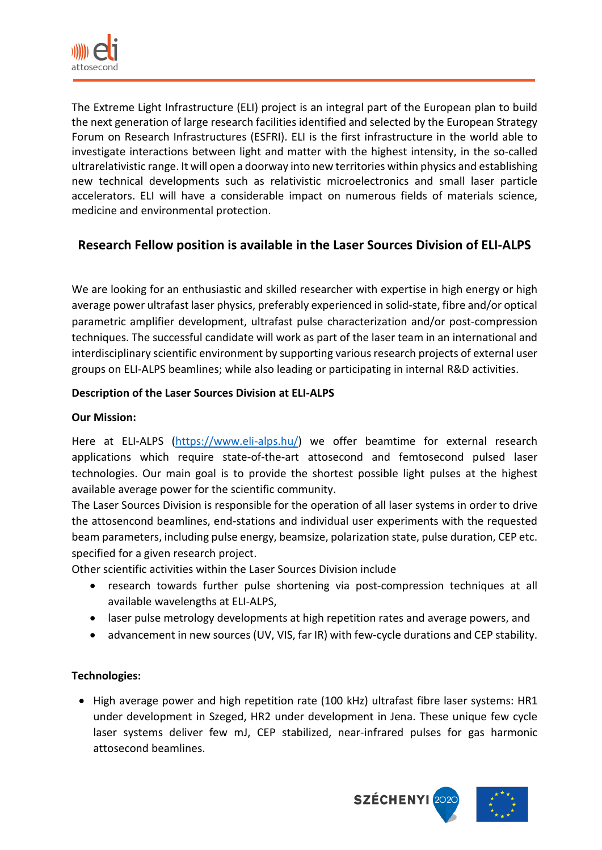

The Extreme Light Infrastructure (ELI) project is an integral part of the European plan to build the next generation of large research facilities identified and selected by the European Strategy Forum on Research Infrastructures (ESFRI). ELI is the first infrastructure in the world able to investigate interactions between light and matter with the highest intensity, in the so-called ultrarelativistic range. It will open a doorway into new territories within physics and establishing new technical developments such as relativistic microelectronics and small laser particle accelerators. ELI will have a considerable impact on numerous fields of materials science, medicine and environmental protection.

# **Research Fellow position is available in the Laser Sources Division of ELI-ALPS**

We are looking for an enthusiastic and skilled researcher with expertise in high energy or high average power ultrafast laser physics, preferably experienced in solid-state, fibre and/or optical parametric amplifier development, ultrafast pulse characterization and/or post-compression techniques. The successful candidate will work as part of the laser team in an international and interdisciplinary scientific environment by supporting various research projects of external user groups on ELI-ALPS beamlines; while also leading or participating in internal R&D activities.

# **Description of the Laser Sources Division at ELI-ALPS**

### **Our Mission:**

Here at ELI-ALPS [\(https://www.eli-alps.hu/\)](https://www.eli-alps.hu/) we offer beamtime for external research applications which require state-of-the-art attosecond and femtosecond pulsed laser technologies. Our main goal is to provide the shortest possible light pulses at the highest available average power for the scientific community.

The Laser Sources Division is responsible for the operation of all laser systems in order to drive the attosencond beamlines, end-stations and individual user experiments with the requested beam parameters, including pulse energy, beamsize, polarization state, pulse duration, CEP etc. specified for a given research project.

Other scientific activities within the Laser Sources Division include

- research towards further pulse shortening via post-compression techniques at all available wavelengths at ELI-ALPS,
- laser pulse metrology developments at high repetition rates and average powers, and
- advancement in new sources (UV, VIS, far IR) with few-cycle durations and CEP stability.

# **Technologies:**

• High average power and high repetition rate (100 kHz) ultrafast fibre laser systems: HR1 under development in Szeged, HR2 under development in Jena. These unique few cycle laser systems deliver few mJ, CEP stabilized, near-infrared pulses for gas harmonic attosecond beamlines.

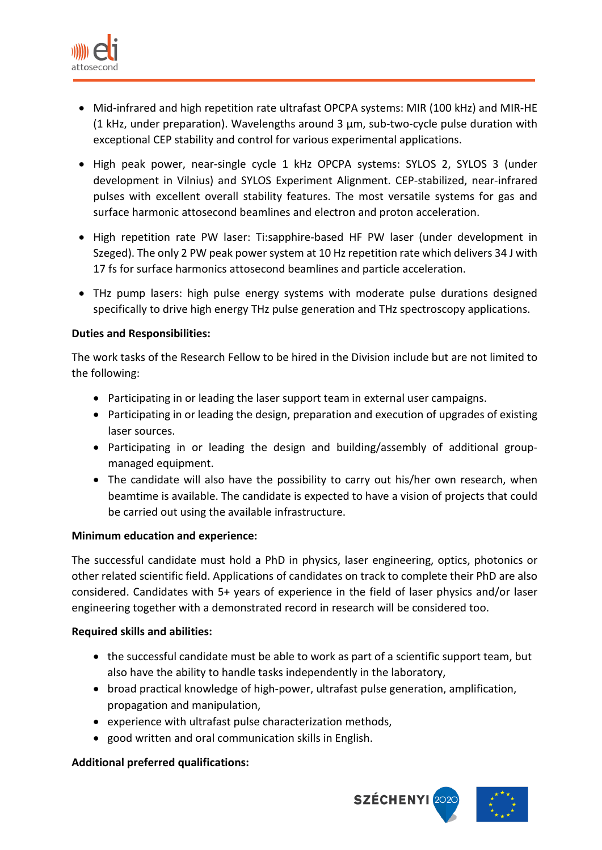

- Mid-infrared and high repetition rate ultrafast OPCPA systems: MIR (100 kHz) and MIR-HE (1 kHz, under preparation). Wavelengths around 3  $\mu$ m, sub-two-cycle pulse duration with exceptional CEP stability and control for various experimental applications.
- High peak power, near-single cycle 1 kHz OPCPA systems: SYLOS 2, SYLOS 3 (under development in Vilnius) and SYLOS Experiment Alignment. CEP-stabilized, near-infrared pulses with excellent overall stability features. The most versatile systems for gas and surface harmonic attosecond beamlines and electron and proton acceleration.
- High repetition rate PW laser: Ti:sapphire-based HF PW laser (under development in Szeged). The only 2 PW peak power system at 10 Hz repetition rate which delivers 34 J with 17 fs for surface harmonics attosecond beamlines and particle acceleration.
- THz pump lasers: high pulse energy systems with moderate pulse durations designed specifically to drive high energy THz pulse generation and THz spectroscopy applications.

# **Duties and Responsibilities:**

The work tasks of the Research Fellow to be hired in the Division include but are not limited to the following:

- Participating in or leading the laser support team in external user campaigns.
- Participating in or leading the design, preparation and execution of upgrades of existing laser sources.
- Participating in or leading the design and building/assembly of additional groupmanaged equipment.
- The candidate will also have the possibility to carry out his/her own research, when beamtime is available. The candidate is expected to have a vision of projects that could be carried out using the available infrastructure.

# **Minimum education and experience:**

The successful candidate must hold a PhD in physics, laser engineering, optics, photonics or other related scientific field. Applications of candidates on track to complete their PhD are also considered. Candidates with 5+ years of experience in the field of laser physics and/or laser engineering together with a demonstrated record in research will be considered too.

# **Required skills and abilities:**

- the successful candidate must be able to work as part of a scientific support team, but also have the ability to handle tasks independently in the laboratory,
- broad practical knowledge of high-power, ultrafast pulse generation, amplification, propagation and manipulation,
- experience with ultrafast pulse characterization methods,
- good written and oral communication skills in English.

# **Additional preferred qualifications:**